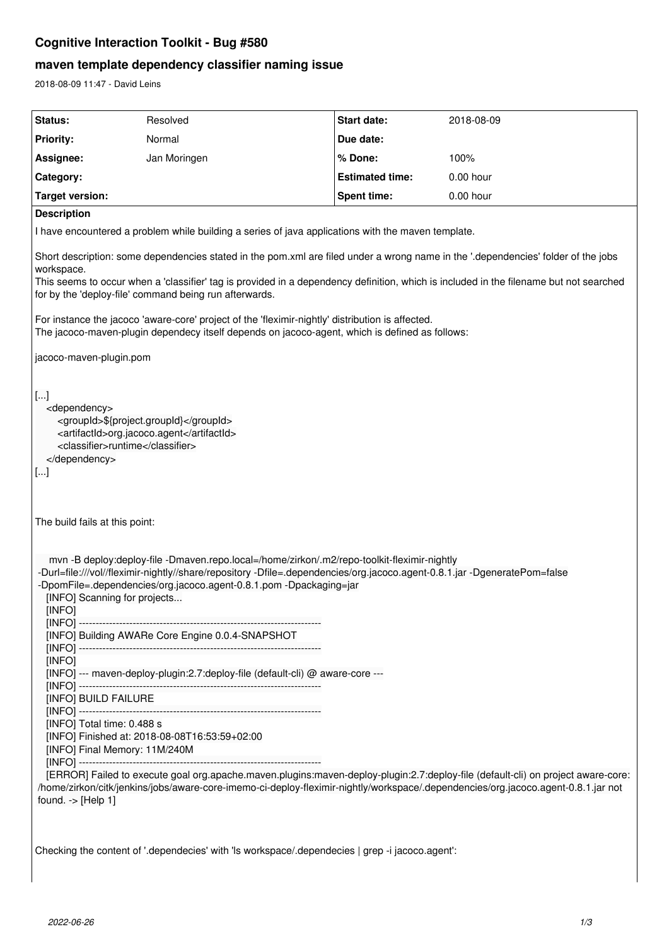## **Cognitive Interaction Toolkit - Bug #580**

# **maven template dependency classifier naming issue**

2018-08-09 11:47 - David Leins

| Status:                                                                                                                                                                                                                                                                                                                                                                                                                                                       | Resolved                                                                       | Start date:            | 2018-08-09  |
|---------------------------------------------------------------------------------------------------------------------------------------------------------------------------------------------------------------------------------------------------------------------------------------------------------------------------------------------------------------------------------------------------------------------------------------------------------------|--------------------------------------------------------------------------------|------------------------|-------------|
| <b>Priority:</b>                                                                                                                                                                                                                                                                                                                                                                                                                                              | Normal                                                                         | Due date:              |             |
| Assignee:                                                                                                                                                                                                                                                                                                                                                                                                                                                     | Jan Moringen                                                                   | % Done:                | 100%        |
| Category:                                                                                                                                                                                                                                                                                                                                                                                                                                                     |                                                                                | <b>Estimated time:</b> | 0.00 hour   |
| <b>Target version:</b>                                                                                                                                                                                                                                                                                                                                                                                                                                        |                                                                                | Spent time:            | $0.00$ hour |
| <b>Description</b>                                                                                                                                                                                                                                                                                                                                                                                                                                            |                                                                                |                        |             |
| I have encountered a problem while building a series of java applications with the maven template.                                                                                                                                                                                                                                                                                                                                                            |                                                                                |                        |             |
| Short description: some dependencies stated in the pom.xml are filed under a wrong name in the '.dependencies' folder of the jobs<br>workspace.<br>This seems to occur when a 'classifier' tag is provided in a dependency definition, which is included in the filename but not searched<br>for by the 'deploy-file' command being run afterwards.                                                                                                           |                                                                                |                        |             |
| For instance the jacoco 'aware-core' project of the 'fleximir-nightly' distribution is affected.<br>The jacoco-maven-plugin dependecy itself depends on jacoco-agent, which is defined as follows:                                                                                                                                                                                                                                                            |                                                                                |                        |             |
| jacoco-maven-plugin.pom                                                                                                                                                                                                                                                                                                                                                                                                                                       |                                                                                |                        |             |
| $\vert$ []<br><dependency><br/><groupid>\${project.groupId}</groupid><br/><artifactid>org.jacoco.agent</artifactid><br/><classifier>runtime</classifier><br/></dependency><br>$\left[  \right]$<br>The build fails at this point:<br>mvn -B deploy:deploy-file -Dmaven.repo.local=/home/zirkon/.m2/repo-toolkit-fleximir-nightly<br>-Durl=file:///vol//fleximir-nightly//share/repository -Dfile=.dependencies/org.jacoco.agent-0.8.1.jar -DgeneratePom=false |                                                                                |                        |             |
| -DpomFile=.dependencies/org.jacoco.agent-0.8.1.pom -Dpackaging=jar<br>[INFO] Scanning for projects<br>[INFO]                                                                                                                                                                                                                                                                                                                                                  |                                                                                |                        |             |
|                                                                                                                                                                                                                                                                                                                                                                                                                                                               | [INFO] Building AWARe Core Engine 0.0.4-SNAPSHOT                               |                        |             |
| [INFO]<br>[INFO] --- maven-deploy-plugin:2.7:deploy-file (default-cli) @ aware-core ---                                                                                                                                                                                                                                                                                                                                                                       |                                                                                |                        |             |
| [INFO] BUILD FAILURE                                                                                                                                                                                                                                                                                                                                                                                                                                          |                                                                                |                        |             |
| [INFO] Total time: 0.488 s                                                                                                                                                                                                                                                                                                                                                                                                                                    | [INFO] Finished at: 2018-08-08T16:53:59+02:00<br>[INFO] Final Memory: 11M/240M |                        |             |
| [ERROR] Failed to execute goal org.apache.maven.plugins:maven-deploy-plugin:2.7:deploy-file (default-cli) on project aware-core:<br>/home/zirkon/citk/jenkins/jobs/aware-core-imemo-ci-deploy-fleximir-nightly/workspace/.dependencies/org.jacoco.agent-0.8.1.jar not<br>found. $\rightarrow$ [Help 1]                                                                                                                                                        |                                                                                |                        |             |
| Checking the content of '.dependecies' with 'ls workspace/.dependecies   grep -i jacoco.agent':                                                                                                                                                                                                                                                                                                                                                               |                                                                                |                        |             |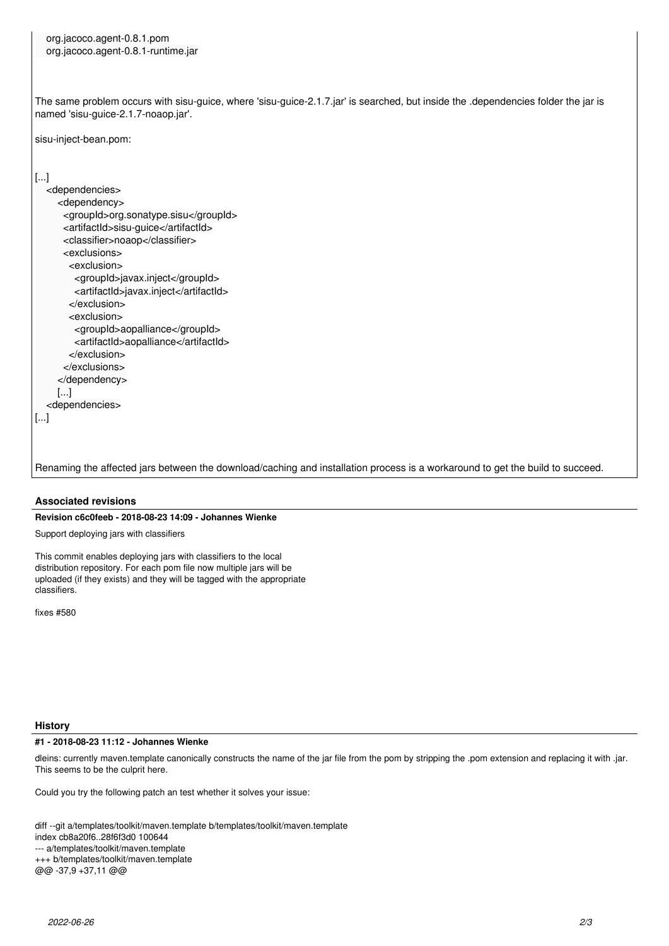org.jacoco.agent-0.8.1.pom org.jacoco.agent-0.8.1-runtime.jar

The same problem occurs with sisu-guice, where 'sisu-guice-2.1.7.jar' is searched, but inside the .dependencies folder the jar is named 'sisu-guice-2.1.7-noaop.jar'.

sisu-inject-bean.pom:

[...]

[...]

 <dependencies> <dependency> <groupId>org.sonatype.sisu</groupId> <artifactId>sisu-guice</artifactId> <classifier>noaop</classifier> <exclusions> <exclusion> <groupId>javax.inject</groupId> <artifactId>javax.inject</artifactId> </exclusion> <exclusion> <groupId>aopalliance</groupId> <artifactId>aopalliance</artifactId> </exclusion> </exclusions> </dependency> [...] <dependencies>

Renaming the affected jars between the download/caching and installation process is a workaround to get the build to succeed.

### **Associated revisions**

### **Revision c6c0feeb - 2018-08-23 14:09 - Johannes Wienke**

Support deploying jars with classifiers

This commit enables deploying jars with classifiers to the local distribution repository. For each pom file now multiple jars will be uploaded (if they exists) and they will be tagged with the appropriate classifiers.

fixes #580

#### **History**

#### **#1 - 2018-08-23 11:12 - Johannes Wienke**

dleins: currently maven.template canonically constructs the name of the jar file from the pom by stripping the .pom extension and replacing it with .jar. This seems to be the culprit here.

Could you try the following patch an test whether it solves your issue:

diff --git a/templates/toolkit/maven.template b/templates/toolkit/maven.template

index cb8a20f6..28f6f3d0 100644

--- a/templates/toolkit/maven.template

+++ b/templates/toolkit/maven.template

@@ -37,9 +37,11 @@